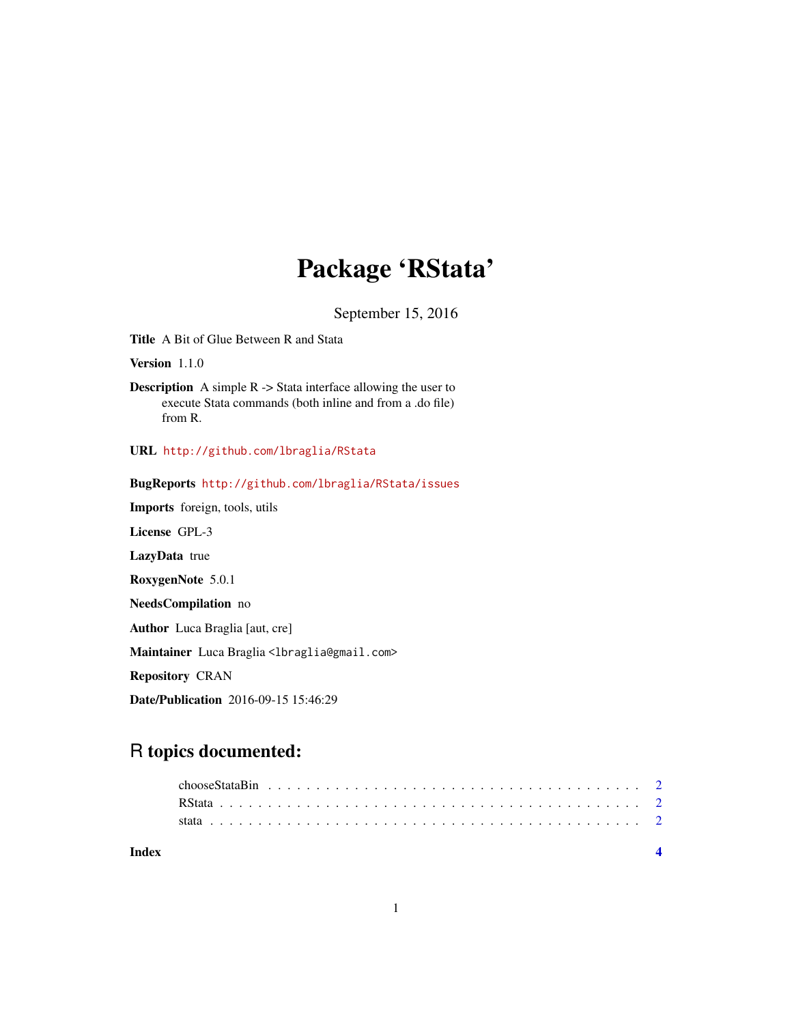## Package 'RStata'

September 15, 2016

<span id="page-0-0"></span>Title A Bit of Glue Between R and Stata

Version 1.1.0

Description A simple R -> Stata interface allowing the user to execute Stata commands (both inline and from a .do file) from R.

URL <http://github.com/lbraglia/RStata>

BugReports <http://github.com/lbraglia/RStata/issues> Imports foreign, tools, utils License GPL-3 LazyData true RoxygenNote 5.0.1 NeedsCompilation no Author Luca Braglia [aut, cre] Maintainer Luca Braglia<lbraglia@gmail.com> Repository CRAN

Date/Publication 2016-09-15 15:46:29

### R topics documented:

| Index |  |  |  |  |  |  |  |  |  |  |  |  |  |  |  |  |  |  |  |  |  |
|-------|--|--|--|--|--|--|--|--|--|--|--|--|--|--|--|--|--|--|--|--|--|
|       |  |  |  |  |  |  |  |  |  |  |  |  |  |  |  |  |  |  |  |  |  |
|       |  |  |  |  |  |  |  |  |  |  |  |  |  |  |  |  |  |  |  |  |  |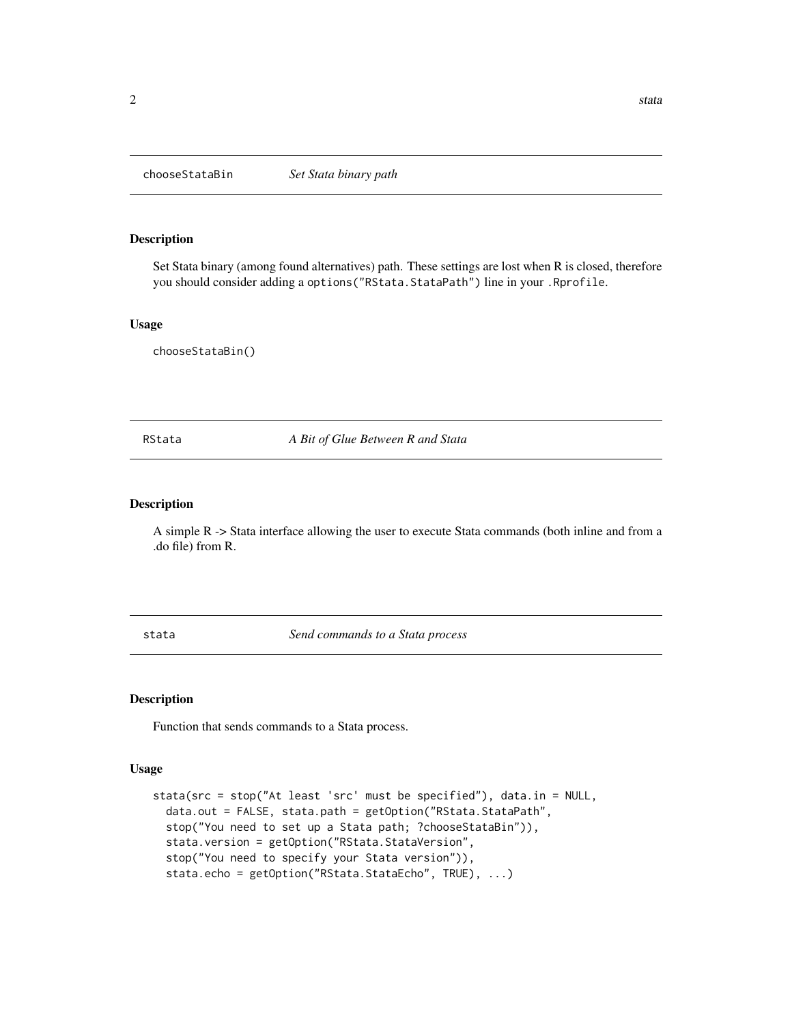<span id="page-1-0"></span>

#### Description

Set Stata binary (among found alternatives) path. These settings are lost when R is closed, therefore you should consider adding a options ("RStata.StataPath") line in your .Rprofile.

#### Usage

chooseStataBin()

RStata *A Bit of Glue Between R and Stata*

#### Description

A simple R -> Stata interface allowing the user to execute Stata commands (both inline and from a .do file) from R.

stata *Send commands to a Stata process*

#### Description

Function that sends commands to a Stata process.

#### Usage

```
stata(src = stop("At least 'src' must be specified"), data.in = NULL,
  data.out = FALSE, stata.path = getOption("RStata.StataPath",
  stop("You need to set up a Stata path; ?chooseStataBin")),
  stata.version = getOption("RStata.StataVersion",
  stop("You need to specify your Stata version")),
  stata.echo = getOption("RStata.StataEcho", TRUE), ...)
```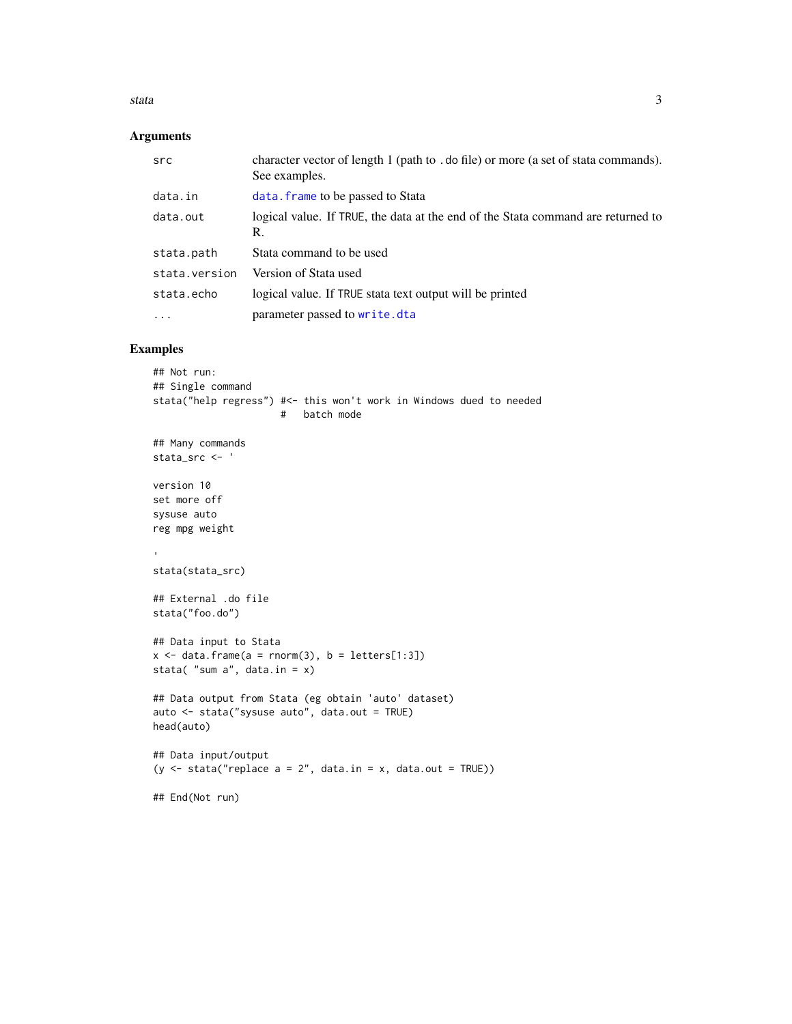#### <span id="page-2-0"></span>stata 3

#### Arguments

| src           | character vector of length 1 (path to . do file) or more (a set of stata commands).<br>See examples. |
|---------------|------------------------------------------------------------------------------------------------------|
| data.in       | data. frame to be passed to Stata                                                                    |
| data.out      | logical value. If TRUE, the data at the end of the Stata command are returned to<br>R.               |
| stata.path    | Stata command to be used                                                                             |
| stata.version | Version of Stata used                                                                                |
| stata.echo    | logical value. If TRUE stata text output will be printed                                             |
| $\cdot$       | parameter passed to write.dta                                                                        |

#### Examples

```
## Not run:
## Single command
stata("help regress") #<- this won't work in Windows dued to needed
                      # batch mode
## Many commands
stata_src <- '
version 10
set more off
sysuse auto
reg mpg weight
stata(stata_src)
## External .do file
stata("foo.do")
## Data input to Stata
x \le - data.frame(a = rnorm(3), b = letters[1:3])
stata( "sum a", data.in = x)
## Data output from Stata (eg obtain 'auto' dataset)
auto <- stata("sysuse auto", data.out = TRUE)
head(auto)
## Data input/output
(y \le - stata("replace a = 2", data.in = x, data.out = TRUE))
## End(Not run)
```